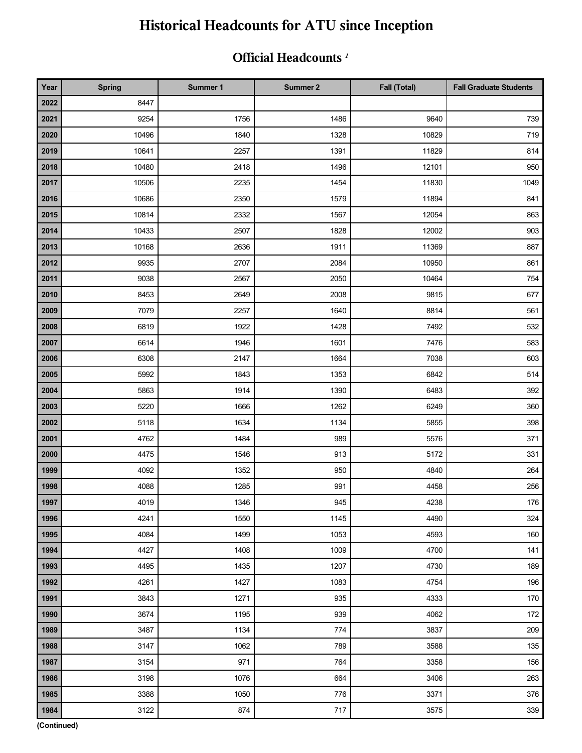### **Official Headcounts** *<sup>1</sup>*

| Year | <b>Spring</b> | Summer 1 | Summer 2 | <b>Fall (Total)</b> | <b>Fall Graduate Students</b> |
|------|---------------|----------|----------|---------------------|-------------------------------|
| 2022 | 8447          |          |          |                     |                               |
| 2021 | 9254          | 1756     | 1486     | 9640                | 739                           |
| 2020 | 10496         | 1840     | 1328     | 10829               | 719                           |
| 2019 | 10641         | 2257     | 1391     | 11829               | 814                           |
| 2018 | 10480         | 2418     | 1496     | 12101               | 950                           |
| 2017 | 10506         | 2235     | 1454     | 11830               | 1049                          |
| 2016 | 10686         | 2350     | 1579     | 11894               | 841                           |
| 2015 | 10814         | 2332     | 1567     | 12054               | 863                           |
| 2014 | 10433         | 2507     | 1828     | 12002               | 903                           |
| 2013 | 10168         | 2636     | 1911     | 11369               | 887                           |
| 2012 | 9935          | 2707     | 2084     | 10950               | 861                           |
| 2011 | 9038          | 2567     | 2050     | 10464               | 754                           |
| 2010 | 8453          | 2649     | 2008     | 9815                | 677                           |
| 2009 | 7079          | 2257     | 1640     | 8814                | 561                           |
| 2008 | 6819          | 1922     | 1428     | 7492                | 532                           |
| 2007 | 6614          | 1946     | 1601     | 7476                | 583                           |
| 2006 | 6308          | 2147     | 1664     | 7038                | 603                           |
| 2005 | 5992          | 1843     | 1353     | 6842                | 514                           |
| 2004 | 5863          | 1914     | 1390     | 6483                | 392                           |
| 2003 | 5220          | 1666     | 1262     | 6249                | 360                           |
| 2002 | 5118          | 1634     | 1134     | 5855                | 398                           |
| 2001 | 4762          | 1484     | 989      | 5576                | 371                           |
| 2000 | 4475          | 1546     | 913      | 5172                | 331                           |
| 1999 | 4092          | 1352     | 950      | 4840                | 264                           |
| 1998 | 4088          | 1285     | 991      | 4458                | 256                           |
| 1997 | 4019          | 1346     | 945      | 4238                | 176                           |
| 1996 | 4241          | 1550     | 1145     | 4490                | 324                           |
| 1995 | 4084          | 1499     | 1053     | 4593                | 160                           |
| 1994 | 4427          | 1408     | 1009     | 4700                | 141                           |
| 1993 | 4495          | 1435     | 1207     | 4730                | 189                           |
| 1992 | 4261          | 1427     | 1083     | 4754                | 196                           |
| 1991 | 3843          | 1271     | 935      | 4333                | 170                           |
| 1990 | 3674          | 1195     | 939      | 4062                | 172                           |
| 1989 | 3487          | 1134     | 774      | 3837                | 209                           |
| 1988 | 3147          | 1062     | 789      | 3588                | 135                           |
| 1987 | 3154          | 971      | 764      | 3358                | 156                           |
| 1986 | 3198          | 1076     | 664      | 3406                | 263                           |
| 1985 | 3388          | 1050     | 776      | 3371                | 376                           |
| 1984 | 3122          | 874      | 717      | 3575                | 339                           |

**(Continued)**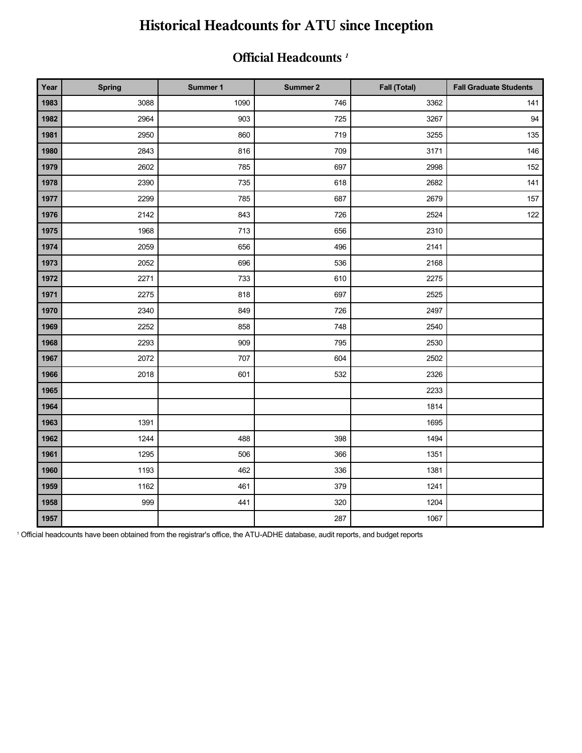#### **Official Headcounts** *<sup>1</sup>*

| Year | <b>Spring</b> | Summer 1 | Summer 2 | Fall (Total) | <b>Fall Graduate Students</b> |
|------|---------------|----------|----------|--------------|-------------------------------|
| 1983 | 3088          | 1090     | 746      | 3362         | 141                           |
| 1982 | 2964          | 903      | 725      | 3267         | 94                            |
| 1981 | 2950          | 860      | 719      | 3255         | 135                           |
| 1980 | 2843          | 816      | 709      | 3171         | 146                           |
| 1979 | 2602          | 785      | 697      | 2998         | 152                           |
| 1978 | 2390          | 735      | 618      | 2682         | 141                           |
| 1977 | 2299          | 785      | 687      | 2679         | 157                           |
| 1976 | 2142          | 843      | 726      | 2524         | 122                           |
| 1975 | 1968          | 713      | 656      | 2310         |                               |
| 1974 | 2059          | 656      | 496      | 2141         |                               |
| 1973 | 2052          | 696      | 536      | 2168         |                               |
| 1972 | 2271          | 733      | 610      | 2275         |                               |
| 1971 | 2275          | 818      | 697      | 2525         |                               |
| 1970 | 2340          | 849      | 726      | 2497         |                               |
| 1969 | 2252          | 858      | 748      | 2540         |                               |
| 1968 | 2293          | 909      | 795      | 2530         |                               |
| 1967 | 2072          | 707      | 604      | 2502         |                               |
| 1966 | 2018          | 601      | 532      | 2326         |                               |
| 1965 |               |          |          | 2233         |                               |
| 1964 |               |          |          | 1814         |                               |
| 1963 | 1391          |          |          | 1695         |                               |
| 1962 | 1244          | 488      | 398      | 1494         |                               |
| 1961 | 1295          | 506      | 366      | 1351         |                               |
| 1960 | 1193          | 462      | 336      | 1381         |                               |
| 1959 | 1162          | 461      | 379      | 1241         |                               |
| 1958 | 999           | 441      | 320      | 1204         |                               |
| 1957 |               |          | 287      | 1067         |                               |

Official headcounts have been obtained from the registrar's office, the ATU-ADHE database, audit reports, and budget reports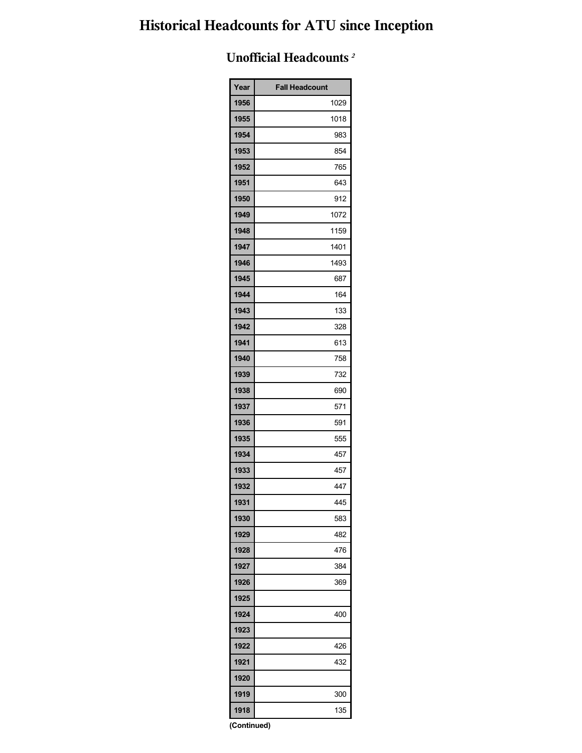## **Unofficial Headcounts** *<sup>2</sup>*

| Year        | <b>Fall Headcount</b> |  |  |  |  |
|-------------|-----------------------|--|--|--|--|
| 1956        | 1029                  |  |  |  |  |
| 1955        | 1018                  |  |  |  |  |
| 1954        | 983                   |  |  |  |  |
| 1953        | 854                   |  |  |  |  |
| 1952        | 765                   |  |  |  |  |
| 1951        | 643                   |  |  |  |  |
| 1950        | 912                   |  |  |  |  |
| 1949        | 1072                  |  |  |  |  |
| 1948        | 1159                  |  |  |  |  |
| 1947        | 1401                  |  |  |  |  |
| 1946        | 1493                  |  |  |  |  |
| 1945        | 687                   |  |  |  |  |
| 1944        | 164                   |  |  |  |  |
| 1943        | 133                   |  |  |  |  |
| 1942        | 328                   |  |  |  |  |
| 1941        | 613                   |  |  |  |  |
| 1940        | 758                   |  |  |  |  |
| 1939        | 732                   |  |  |  |  |
| 1938        | 690                   |  |  |  |  |
| 1937        | 571                   |  |  |  |  |
| 1936        | 591                   |  |  |  |  |
| 1935        | 555                   |  |  |  |  |
| 1934        | 457                   |  |  |  |  |
| 1933        | 457                   |  |  |  |  |
| 1932        | 447                   |  |  |  |  |
| 1931        | 445                   |  |  |  |  |
| 1930        | 583                   |  |  |  |  |
| 1929        | 482                   |  |  |  |  |
| 1928        | 476                   |  |  |  |  |
| 1927        | 384                   |  |  |  |  |
| 1926        | 369                   |  |  |  |  |
| 1925        |                       |  |  |  |  |
| 1924        | 400                   |  |  |  |  |
| 1923        |                       |  |  |  |  |
| 1922        | 426                   |  |  |  |  |
| 1921        | 432                   |  |  |  |  |
| 1920        |                       |  |  |  |  |
| 1919        | 300                   |  |  |  |  |
| 1918        | 135                   |  |  |  |  |
| (Continued) |                       |  |  |  |  |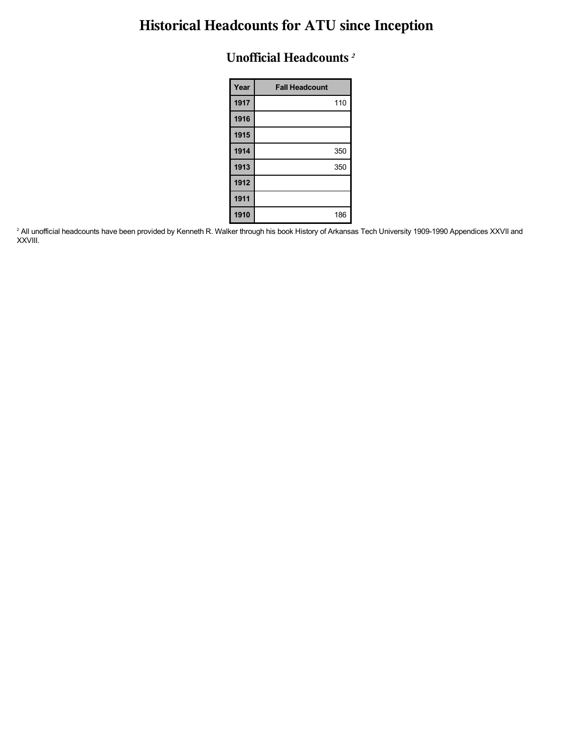#### **Unofficial Headcounts** *<sup>2</sup>*

| Year | <b>Fall Headcount</b> |
|------|-----------------------|
| 1917 | 110                   |
| 1916 |                       |
| 1915 |                       |
| 1914 | 350                   |
| 1913 | 350                   |
| 1912 |                       |
| 1911 |                       |
| 1910 | 186                   |

 All unofficial headcounts have been provided by Kenneth R. Walker through his book History of Arkansas Tech University 1909-1990 Appendices XXVII and XXVIII.